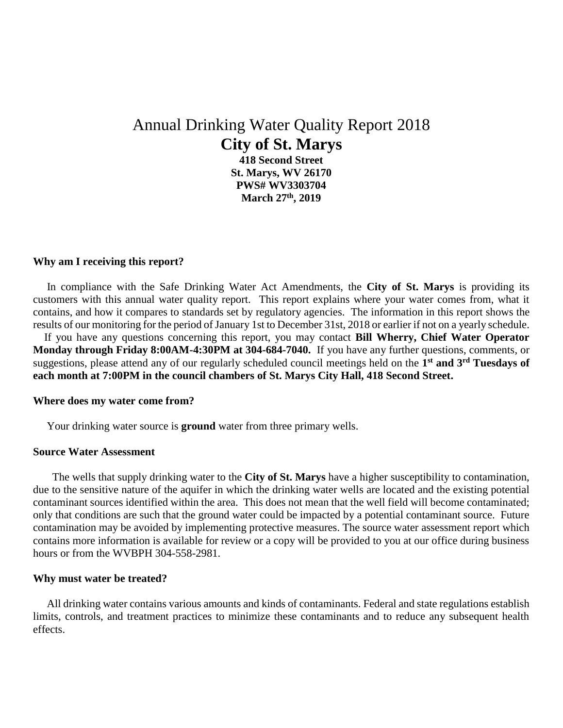# Annual Drinking Water Quality Report 2018 **City of St. Marys**

**418 Second Street St. Marys, WV 26170 PWS# WV3303704 March 27th, 2019**

## **Why am I receiving this report?**

 In compliance with the Safe Drinking Water Act Amendments, the **City of St. Marys** is providing its customers with this annual water quality report. This report explains where your water comes from, what it contains, and how it compares to standards set by regulatory agencies. The information in this report shows the results of our monitoring for the period of January 1st to December 31st, 2018 or earlier if not on a yearly schedule.

 If you have any questions concerning this report, you may contact **Bill Wherry, Chief Water Operator Monday through Friday 8:00AM-4:30PM at 304-684-7040.** If you have any further questions, comments, or suggestions, please attend any of our regularly scheduled council meetings held on the **1 st and 3rd Tuesdays of each month at 7:00PM in the council chambers of St. Marys City Hall, 418 Second Street.**

### **Where does my water come from?**

Your drinking water source is **ground** water from three primary wells.

## **Source Water Assessment**

 The wells that supply drinking water to the **City of St. Marys** have a higher susceptibility to contamination, due to the sensitive nature of the aquifer in which the drinking water wells are located and the existing potential contaminant sources identified within the area. This does not mean that the well field will become contaminated; only that conditions are such that the ground water could be impacted by a potential contaminant source. Future contamination may be avoided by implementing protective measures. The source water assessment report which contains more information is available for review or a copy will be provided to you at our office during business hours or from the WVBPH 304-558-2981.

#### **Why must water be treated?**

 All drinking water contains various amounts and kinds of contaminants. Federal and state regulations establish limits, controls, and treatment practices to minimize these contaminants and to reduce any subsequent health effects.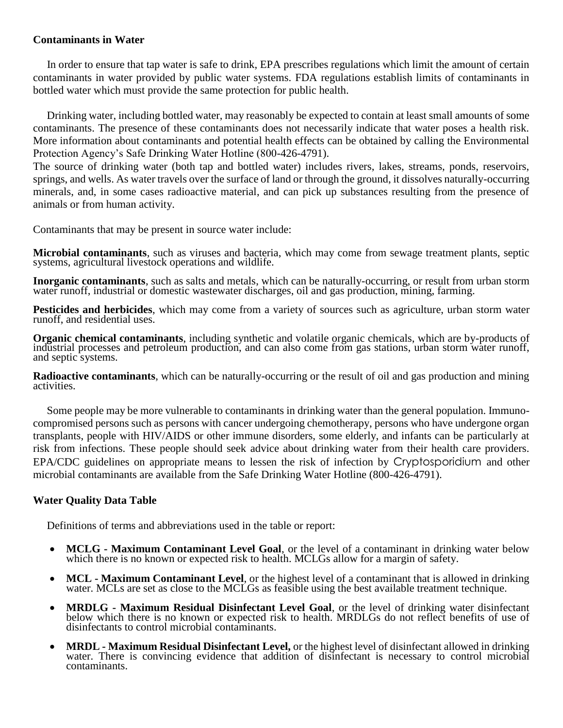## **Contaminants in Water**

 In order to ensure that tap water is safe to drink, EPA prescribes regulations which limit the amount of certain contaminants in water provided by public water systems. FDA regulations establish limits of contaminants in bottled water which must provide the same protection for public health.

 Drinking water, including bottled water, may reasonably be expected to contain at least small amounts of some contaminants. The presence of these contaminants does not necessarily indicate that water poses a health risk. More information about contaminants and potential health effects can be obtained by calling the Environmental Protection Agency's Safe Drinking Water Hotline (800-426-4791).

The source of drinking water (both tap and bottled water) includes rivers, lakes, streams, ponds, reservoirs, springs, and wells. As water travels over the surface of land or through the ground, it dissolves naturally-occurring minerals, and, in some cases radioactive material, and can pick up substances resulting from the presence of animals or from human activity.

Contaminants that may be present in source water include:

**Microbial contaminants**, such as viruses and bacteria, which may come from sewage treatment plants, septic systems, agricultural livestock operations and wildlife.

**Inorganic contaminants**, such as salts and metals, which can be naturally-occurring, or result from urban storm water runoff, industrial or domestic wastewater discharges, oil and gas production, mining, farming.

**Pesticides and herbicides**, which may come from a variety of sources such as agriculture, urban storm water runoff, and residential uses.

**Organic chemical contaminants**, including synthetic and volatile organic chemicals, which are by-products of industrial processes and petroleum production, and can also come from gas stations, urban storm water runoff, and septic systems.

**Radioactive contaminants**, which can be naturally-occurring or the result of oil and gas production and mining activities.

 Some people may be more vulnerable to contaminants in drinking water than the general population. Immunocompromised persons such as persons with cancer undergoing chemotherapy, persons who have undergone organ transplants, people with HIV/AIDS or other immune disorders, some elderly, and infants can be particularly at risk from infections. These people should seek advice about drinking water from their health care providers. EPA/CDC guidelines on appropriate means to lessen the risk of infection by Cryptosporidium and other microbial contaminants are available from the Safe Drinking Water Hotline (800-426-4791).

# **Water Quality Data Table**

Definitions of terms and abbreviations used in the table or report:

- **MCLG - Maximum Contaminant Level Goal**, or the level of a contaminant in drinking water below which there is no known or expected risk to health. MCLGs allow for a margin of safety.
- **MCL - Maximum Contaminant Level**, or the highest level of a contaminant that is allowed in drinking water. MCLs are set as close to the MCLGs as feasible using the best available treatment technique.
- **MRDLG - Maximum Residual Disinfectant Level Goal**, or the level of drinking water disinfectant below which there is no known or expected risk to health. MRDLGs do not reflect benefits of use of disinfectants to control microbial contaminants.
- **MRDL - Maximum Residual Disinfectant Level,** or the highest level of disinfectant allowed in drinking water. There is convincing evidence that addition of disinfectant is necessary to control microbial contaminants.